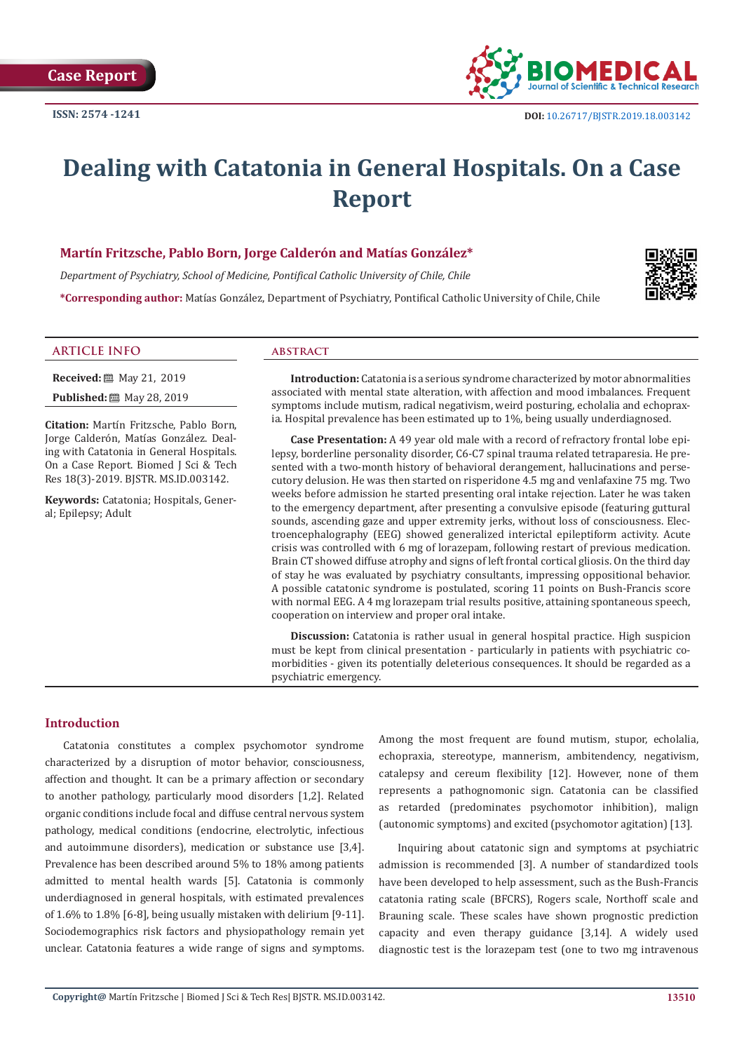

# **Dealing with Catatonia in General Hospitals. On a Case Report**

# **Martín Fritzsche, Pablo Born, Jorge Calderón and Matías González\***

*Department of Psychiatry, School of Medicine, Pontifical Catholic University of Chile, Chile* **\*Corresponding author:** Matías González, Department of Psychiatry, Pontifical Catholic University of Chile, Chile



#### **ARTICLE INFO abstract**

**Received:** 圖 May 21, 2019

**Published:** 圖 May 28, 2019

**Citation:** Martín Fritzsche, Pablo Born, Jorge Calderón, Matías González. Dealing with Catatonia in General Hospitals. On a Case Report. Biomed J Sci & Tech Res 18(3)-2019. BJSTR. MS.ID.003142.

**Keywords:** Catatonia; Hospitals, General; Epilepsy; Adult

**Introduction:** Catatonia is a serious syndrome characterized by motor abnormalities associated with mental state alteration, with affection and mood imbalances. Frequent symptoms include mutism, radical negativism, weird posturing, echolalia and echopraxia. Hospital prevalence has been estimated up to 1%, being usually underdiagnosed.

**Case Presentation:** A 49 year old male with a record of refractory frontal lobe epilepsy, borderline personality disorder, C6-C7 spinal trauma related tetraparesia. He presented with a two-month history of behavioral derangement, hallucinations and persecutory delusion. He was then started on risperidone 4.5 mg and venlafaxine 75 mg. Two weeks before admission he started presenting oral intake rejection. Later he was taken to the emergency department, after presenting a convulsive episode (featuring guttural sounds, ascending gaze and upper extremity jerks, without loss of consciousness. Electroencephalography (EEG) showed generalized interictal epileptiform activity. Acute crisis was controlled with 6 mg of lorazepam, following restart of previous medication. Brain CT showed diffuse atrophy and signs of left frontal cortical gliosis. On the third day of stay he was evaluated by psychiatry consultants, impressing oppositional behavior. A possible catatonic syndrome is postulated, scoring 11 points on Bush-Francis score with normal EEG. A 4 mg lorazepam trial results positive, attaining spontaneous speech, cooperation on interview and proper oral intake.

**Discussion:** Catatonia is rather usual in general hospital practice. High suspicion must be kept from clinical presentation - particularly in patients with psychiatric comorbidities - given its potentially deleterious consequences. It should be regarded as a psychiatric emergency.

# **Introduction**

Catatonia constitutes a complex psychomotor syndrome characterized by a disruption of motor behavior, consciousness, affection and thought. It can be a primary affection or secondary to another pathology, particularly mood disorders [1,2]. Related organic conditions include focal and diffuse central nervous system pathology, medical conditions (endocrine, electrolytic, infectious and autoimmune disorders), medication or substance use [3,4]. Prevalence has been described around 5% to 18% among patients admitted to mental health wards [5]. Catatonia is commonly underdiagnosed in general hospitals, with estimated prevalences of 1.6% to 1.8% [6-8], being usually mistaken with delirium [9-11]. Sociodemographics risk factors and physiopathology remain yet unclear. Catatonia features a wide range of signs and symptoms.

Among the most frequent are found mutism, stupor, echolalia, echopraxia, stereotype, mannerism, ambitendency, negativism, catalepsy and cereum flexibility [12]. However, none of them represents a pathognomonic sign. Catatonia can be classified as retarded (predominates psychomotor inhibition), malign (autonomic symptoms) and excited (psychomotor agitation) [13].

Inquiring about catatonic sign and symptoms at psychiatric admission is recommended [3]. A number of standardized tools have been developed to help assessment, such as the Bush-Francis catatonia rating scale (BFCRS), Rogers scale, Northoff scale and Brauning scale. These scales have shown prognostic prediction capacity and even therapy guidance [3,14]. A widely used diagnostic test is the lorazepam test (one to two mg intravenous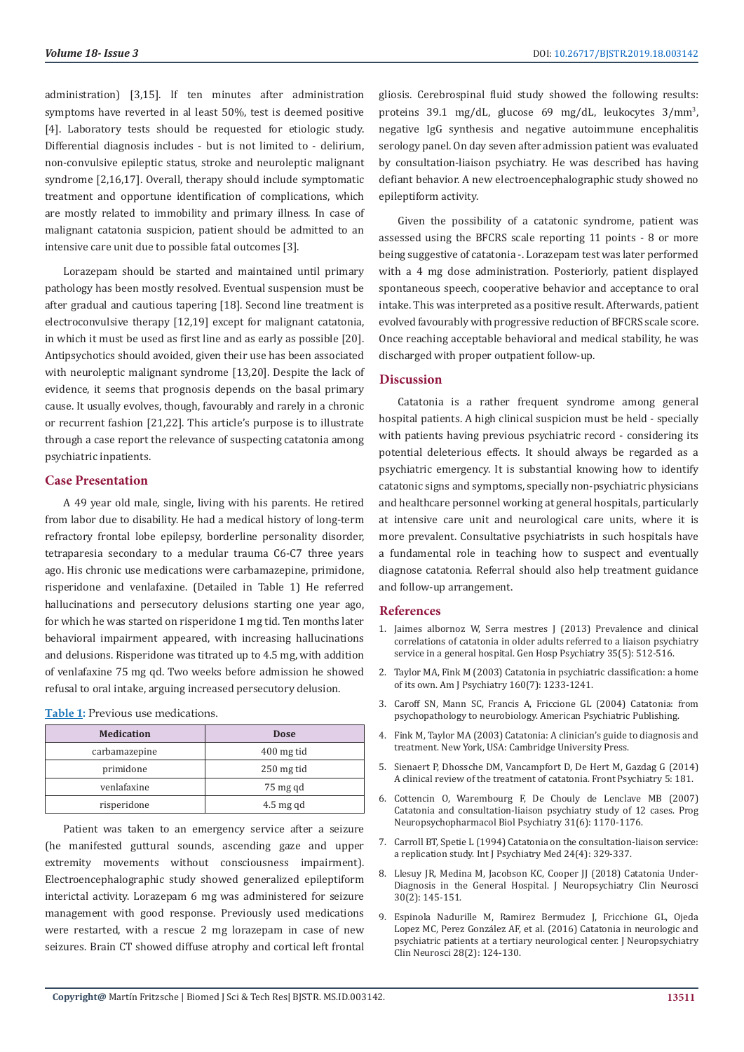administration) [3,15]. If ten minutes after administration symptoms have reverted in al least 50%, test is deemed positive [4]. Laboratory tests should be requested for etiologic study. Differential diagnosis includes - but is not limited to - delirium, non-convulsive epileptic status, stroke and neuroleptic malignant syndrome [2,16,17]. Overall, therapy should include symptomatic treatment and opportune identification of complications, which are mostly related to immobility and primary illness. In case of malignant catatonia suspicion, patient should be admitted to an intensive care unit due to possible fatal outcomes [3].

Lorazepam should be started and maintained until primary pathology has been mostly resolved. Eventual suspension must be after gradual and cautious tapering [18]. Second line treatment is electroconvulsive therapy [12,19] except for malignant catatonia, in which it must be used as first line and as early as possible [20]. Antipsychotics should avoided, given their use has been associated with neuroleptic malignant syndrome [13,20]. Despite the lack of evidence, it seems that prognosis depends on the basal primary cause. It usually evolves, though, favourably and rarely in a chronic or recurrent fashion [21,22]. This article's purpose is to illustrate through a case report the relevance of suspecting catatonia among psychiatric inpatients.

#### **Case Presentation**

A 49 year old male, single, living with his parents. He retired from labor due to disability. He had a medical history of long-term refractory frontal lobe epilepsy, borderline personality disorder, tetraparesia secondary to a medular trauma C6-C7 three years ago. His chronic use medications were carbamazepine, primidone, risperidone and venlafaxine. (Detailed in Table 1) He referred hallucinations and persecutory delusions starting one year ago, for which he was started on risperidone 1 mg tid. Ten months later behavioral impairment appeared, with increasing hallucinations and delusions. Risperidone was titrated up to 4.5 mg, with addition of venlafaxine 75 mg qd. Two weeks before admission he showed refusal to oral intake, arguing increased persecutory delusion.

**Table 1:** Previous use medications.

| <b>Medication</b> | <b>Dose</b> |
|-------------------|-------------|
| carbamazepine     | 400 mg tid  |
| primidone         | 250 mg tid  |
| venlafaxine       | 75 mg qd    |
| risperidone       | $4.5$ mg qd |

Patient was taken to an emergency service after a seizure (he manifested guttural sounds, ascending gaze and upper extremity movements without consciousness impairment). Electroencephalographic study showed generalized epileptiform interictal activity. Lorazepam 6 mg was administered for seizure management with good response. Previously used medications were restarted, with a rescue 2 mg lorazepam in case of new seizures. Brain CT showed diffuse atrophy and cortical left frontal gliosis. Cerebrospinal fluid study showed the following results: proteins 39.1 mg/dL, glucose 69 mg/dL, leukocytes 3/mm<sup>3</sup> , negative IgG synthesis and negative autoimmune encephalitis serology panel. On day seven after admission patient was evaluated by consultation-liaison psychiatry. He was described has having defiant behavior. A new electroencephalographic study showed no epileptiform activity.

Given the possibility of a catatonic syndrome, patient was assessed using the BFCRS scale reporting 11 points - 8 or more being suggestive of catatonia -. Lorazepam test was later performed with a 4 mg dose administration. Posteriorly, patient displayed spontaneous speech, cooperative behavior and acceptance to oral intake. This was interpreted as a positive result. Afterwards, patient evolved favourably with progressive reduction of BFCRS scale score. Once reaching acceptable behavioral and medical stability, he was discharged with proper outpatient follow-up.

### **Discussion**

Catatonia is a rather frequent syndrome among general hospital patients. A high clinical suspicion must be held - specially with patients having previous psychiatric record - considering its potential deleterious effects. It should always be regarded as a psychiatric emergency. It is substantial knowing how to identify catatonic signs and symptoms, specially non-psychiatric physicians and healthcare personnel working at general hospitals, particularly at intensive care unit and neurological care units, where it is more prevalent. Consultative psychiatrists in such hospitals have a fundamental role in teaching how to suspect and eventually diagnose catatonia. Referral should also help treatment guidance and follow-up arrangement.

#### **References**

- 1. [Jaimes albornoz W, Serra mestres J \(2013\) Prevalence and clinical](https://www.ncbi.nlm.nih.gov/pubmed/23684045) [correlations of catatonia in older adults referred to a liaison psychiatry](https://www.ncbi.nlm.nih.gov/pubmed/23684045) [service in a general hospital. Gen Hosp Psychiatry 35\(5\): 512-516.](https://www.ncbi.nlm.nih.gov/pubmed/23684045)
- 2. [Taylor MA, Fink M \(2003\) Catatonia in psychiatric classification: a home](https://www.ncbi.nlm.nih.gov/pubmed/12832234) [of its own. Am J Psychiatry 160\(7\): 1233-1241.](https://www.ncbi.nlm.nih.gov/pubmed/12832234)
- 3. [Caroff SN, Mann SC, Francis A, Friccione GL \(2004\) Catatonia: from](https://psycnet.apa.org/record/2004-13121-000) [psychopathology to neurobiology. American Psychiatric Publishing.](https://psycnet.apa.org/record/2004-13121-000)
- 4. [Fink M, Taylor MA \(2003\) Catatonia: A clinician's guide to diagnosis and](https://books.google.co.in/books/about/Catatonia.html?id=CoXInf3HdcsC) [treatment. New York, USA: Cambridge University Press.](https://books.google.co.in/books/about/Catatonia.html?id=CoXInf3HdcsC)
- 5. [Sienaert P, Dhossche DM, Vancampfort D, De Hert M, Gazdag G \(2014\)](https://www.ncbi.nlm.nih.gov/pubmed/25538636) [A clinical review of the treatment of catatonia. Front Psychiatry 5: 181.](https://www.ncbi.nlm.nih.gov/pubmed/25538636)
- 6. [Cottencin O, Warembourg F, De Chouly de Lenclave MB \(2007\)](https://www.researchgate.net/publication/6297781_Catatonia_and_consultation-liaison_psychiatry_study_of_12_cases) [Catatonia and consultation-liaison psychiatry study of 12 cases. Prog](https://www.researchgate.net/publication/6297781_Catatonia_and_consultation-liaison_psychiatry_study_of_12_cases) [Neuropsychopharmacol Biol Psychiatry 31\(6\): 1170-1176.](https://www.researchgate.net/publication/6297781_Catatonia_and_consultation-liaison_psychiatry_study_of_12_cases)
- 7. [Carroll BT, Spetie L \(1994\) Catatonia on the consultation-liaison service:](https://www.ncbi.nlm.nih.gov/pubmed/7737788) [a replication study. Int J Psychiatry Med 24\(4\): 329-337.](https://www.ncbi.nlm.nih.gov/pubmed/7737788)
- 8. [Llesuy JR, Medina M, Jacobson KC, Cooper JJ \(2018\) Catatonia Under-](https://www.ncbi.nlm.nih.gov/pubmed/29325478)[Diagnosis in the General Hospital. J Neuropsychiatry Clin Neurosci](https://www.ncbi.nlm.nih.gov/pubmed/29325478) [30\(2\): 145-151.](https://www.ncbi.nlm.nih.gov/pubmed/29325478)
- 9. [Espinola Nadurille M, Ramirez Bermudez J, Fricchione GL, Ojeda](https://www.ncbi.nlm.nih.gov/pubmed/26670787) [Lopez MC, Perez González AF, et al. \(2016\) Catatonia in neurologic and](https://www.ncbi.nlm.nih.gov/pubmed/26670787) [psychiatric patients at a tertiary neurological center. J Neuropsychiatry](https://www.ncbi.nlm.nih.gov/pubmed/26670787) [Clin Neurosci 28\(2\): 124-130.](https://www.ncbi.nlm.nih.gov/pubmed/26670787)